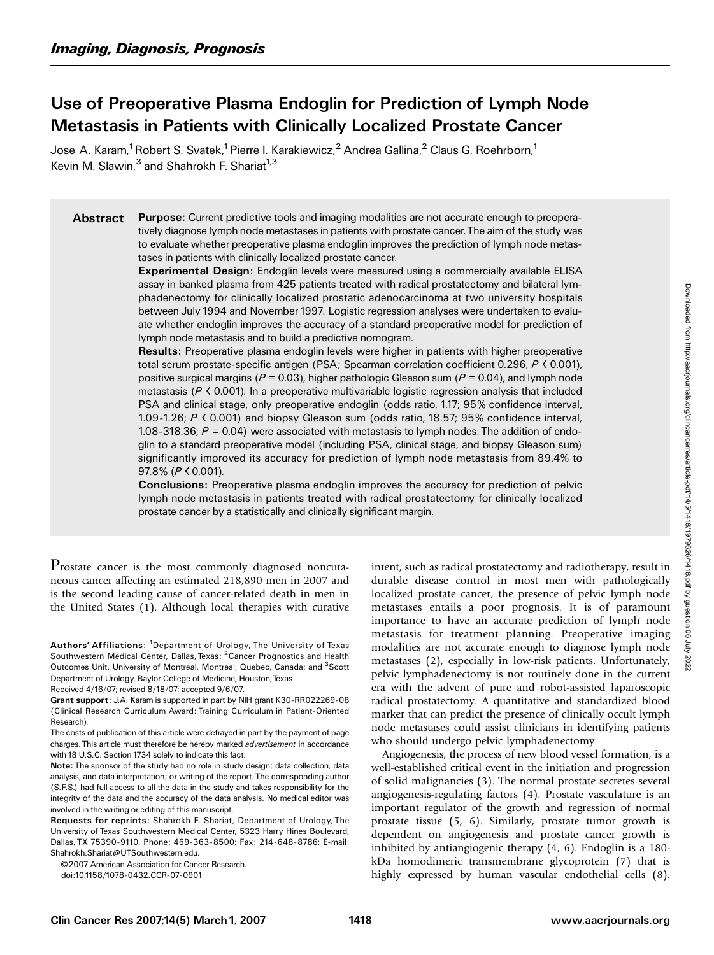# Use of Preoperative Plasma Endoglin for Prediction of Lymph Node Metastasis in Patients with Clinically Localized Prostate Cancer

Jose A. Karam,<sup>1</sup> Robert S. Svatek,<sup>1</sup> Pierre I. Karakiewicz,<sup>2</sup> Andrea Gallina,<sup>2</sup> Claus G. Roehrborn,<sup>1</sup> Kevin M. Slawin, $3$  and Shahrokh F. Shariat<sup>1,3</sup>

Abstract Purpose: Current predictive tools and imaging modalities are not accurate enough to preoperatively diagnose lymph node metastases in patients with prostate cancer.The aim of the study was to evaluate whether preoperative plasma endoglin improves the prediction of lymph node metastases in patients with clinically localized prostate cancer.

> Experimental Design: Endoglin levels were measured using a commercially available ELISA assay in banked plasma from 425 patients treated with radical prostatectomy and bilateral lymphadenectomy for clinically localized prostatic adenocarcinoma at two university hospitals between July 1994 and November 1997. Logistic regression analyses were undertaken to evaluate whether endoglin improves the accuracy of a standard preoperative model for prediction of lymph node metastasis and to build a predictive nomogram.

> Results: Preoperative plasma endoglin levels were higher in patients with higher preoperative total serum prostate-specific antigen (PSA; Spearman correlation coefficient 0.296, <sup>P</sup> < 0.001), positive surgical margins ( $P = 0.03$ ), higher pathologic Gleason sum ( $P = 0.04$ ), and lymph node metastasis ( $P \lt 0.001$ ). In a preoperative multivariable logistic regression analysis that included PSA and clinical stage, only preoperative endoglin (odds ratio, 1.17; 95% confidence interval, 1.09-1.26; <sup>P</sup> < 0.001) and biopsy Gleason sum (odds ratio, 18.57; 95% confidence interval, 1.08-318.36;  $P = 0.04$ ) were associated with metastasis to lymph nodes. The addition of endoglin to a standard preoperative model (including PSA, clinical stage, and biopsy Gleason sum) significantly improved its accuracy for prediction of lymph node metastasis from 89.4% to 97.8% (P < 0.001).

> Conclusions: Preoperative plasma endoglin improves the accuracy for prediction of pelvic lymph node metastasis in patients treated with radical prostatectomy for clinically localized prostate cancer by a statistically and clinically significant margin.

Prostate cancer is the most commonly diagnosed noncutaneous cancer affecting an estimated 218,890 men in 2007 and is the second leading cause of cancer-related death in men in the United States (1). Although local therapies with curative

intent, such as radical prostatectomy and radiotherapy, result in durable disease control in most men with pathologically localized prostate cancer, the presence of pelvic lymph node metastases entails a poor prognosis. It is of paramount importance to have an accurate prediction of lymph node metastasis for treatment planning. Preoperative imaging modalities are not accurate enough to diagnose lymph node metastases (2), especially in low-risk patients. Unfortunately, pelvic lymphadenectomy is not routinely done in the current era with the advent of pure and robot-assisted laparoscopic radical prostatectomy. A quantitative and standardized blood marker that can predict the presence of clinically occult lymph node metastases could assist clinicians in identifying patients who should undergo pelvic lymphadenectomy.

Angiogenesis, the process of new blood vessel formation, is a well-established critical event in the initiation and progression of solid malignancies (3). The normal prostate secretes several angiogenesis-regulating factors (4). Prostate vasculature is an important regulator of the growth and regression of normal prostate tissue (5, 6). Similarly, prostate tumor growth is dependent on angiogenesis and prostate cancer growth is inhibited by antiangiogenic therapy (4, 6). Endoglin is a 180 kDa homodimeric transmembrane glycoprotein (7) that is highly expressed by human vascular endothelial cells (8).

Authors' Affiliations: <sup>1</sup>Department of Urology, The University of Texas Southwestern Medical Center, Dallas, Texas; <sup>2</sup> Cancer Prognostics and Health Outcomes Unit, University of Montreal, Montreal, Quebec, Canada; and <sup>3</sup>Scott Department of Urology, Baylor College of Medicine, Houston,Texas

Received 4/16/07; revised 8/18/07; accepted 9/6/07.

Grant support: J.A. Karam is supported in part by NIH grant K30-RR022269-08 (Clinical Research Curriculum Award: Training Curriculum in Patient-Oriented Research).

The costs of publication of this article were defrayed in part by the payment of page charges. This article must therefore be hereby marked *advertisement* in accordance with 18 U.S.C. Section 1734 solely to indicate this fact.

Note: The sponsor of the study had no role in study design; data collection, data analysis, and data interpretation; or writing of the report. The corresponding author (S.F.S.) had full access to all the data in the study and takes responsibility for the integrity of the data and the accuracy of the data analysis. No medical editor was involved in the writing or editing of this manuscript.

Requests for reprints: Shahrokh F. Shariat, Department of Urology, The University of Texas Southwestern Medical Center, 5323 Harry Hines Boulevard, Dallas, TX 75390-9110. Phone: 469-363-8500; Fax: 214-648-8786; E-mail: Shahrokh.Shariat@UTSouthwestern.edu.

<sup>© 2007</sup> American Association for Cancer Research.

doi:10.1158/1078-0432.CCR-07-0901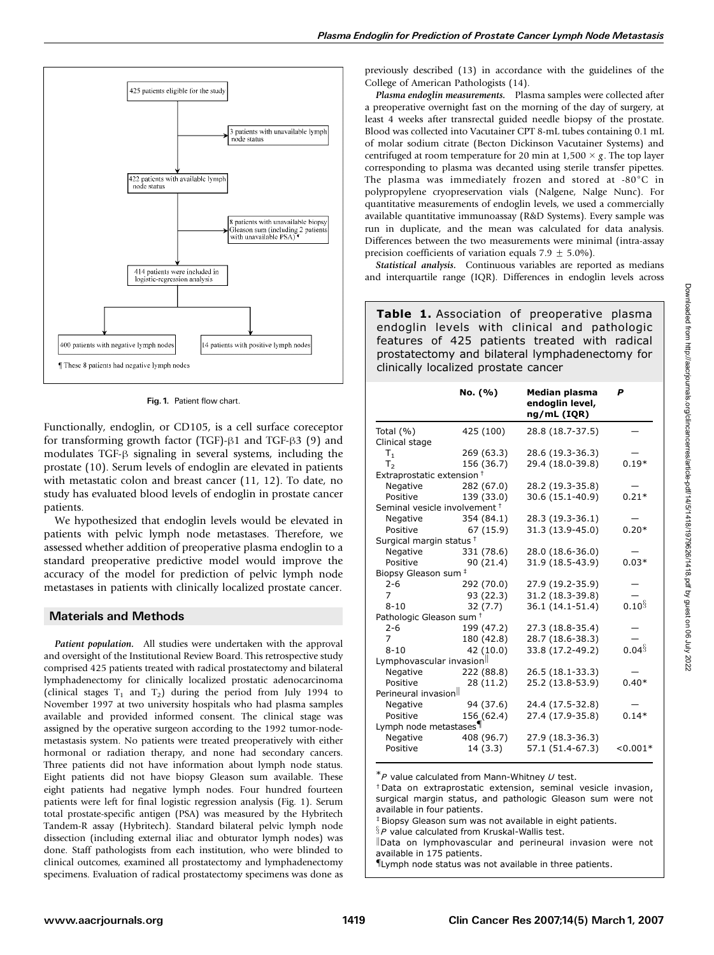

Fig. 1. Patient flow chart.

Functionally, endoglin, or CD105, is a cell surface coreceptor for transforming growth factor (TGF)- $\beta$ 1 and TGF- $\beta$ 3 (9) and modulates  $TGF- $\beta$  signaling in several systems, including the$ prostate (10). Serum levels of endoglin are elevated in patients with metastatic colon and breast cancer (11, 12). To date, no study has evaluated blood levels of endoglin in prostate cancer patients.

We hypothesized that endoglin levels would be elevated in patients with pelvic lymph node metastases. Therefore, we assessed whether addition of preoperative plasma endoglin to a standard preoperative predictive model would improve the accuracy of the model for prediction of pelvic lymph node metastases in patients with clinically localized prostate cancer.

#### Materials and Methods

Patient population. All studies were undertaken with the approval and oversight of the Institutional Review Board. This retrospective study comprised 425 patients treated with radical prostatectomy and bilateral lymphadenectomy for clinically localized prostatic adenocarcinoma (clinical stages  $T_1$  and  $T_2$ ) during the period from July 1994 to November 1997 at two university hospitals who had plasma samples available and provided informed consent. The clinical stage was assigned by the operative surgeon according to the 1992 tumor-nodemetastasis system. No patients were treated preoperatively with either hormonal or radiation therapy, and none had secondary cancers. Three patients did not have information about lymph node status. Eight patients did not have biopsy Gleason sum available. These eight patients had negative lymph nodes. Four hundred fourteen patients were left for final logistic regression analysis (Fig. 1). Serum total prostate-specific antigen (PSA) was measured by the Hybritech Tandem-R assay (Hybritech). Standard bilateral pelvic lymph node dissection (including external iliac and obturator lymph nodes) was done. Staff pathologists from each institution, who were blinded to clinical outcomes, examined all prostatectomy and lymphadenectomy specimens. Evaluation of radical prostatectomy specimens was done as previously described (13) in accordance with the guidelines of the College of American Pathologists (14).

Plasma endoglin measurements. Plasma samples were collected after a preoperative overnight fast on the morning of the day of surgery, at least 4 weeks after transrectal guided needle biopsy of the prostate. Blood was collected into Vacutainer CPT 8-mL tubes containing 0.1 mL of molar sodium citrate (Becton Dickinson Vacutainer Systems) and centrifuged at room temperature for 20 min at 1,500  $\times$  g. The top layer corresponding to plasma was decanted using sterile transfer pipettes. The plasma was immediately frozen and stored at -80 $^{\circ}$ C in polypropylene cryopreservation vials (Nalgene, Nalge Nunc). For quantitative measurements of endoglin levels, we used a commercially available quantitative immunoassay (R&D Systems). Every sample was run in duplicate, and the mean was calculated for data analysis. Differences between the two measurements were minimal (intra-assay precision coefficients of variation equals 7.9  $\pm$  5.0%).

Statistical analysis. Continuous variables are reported as medians and interquartile range (IQR). Differences in endoglin levels across

**Table 1.** Association of preoperative plasma endoglin levels with clinical and pathologic features of 425 patients treated with radical prostatectomy and bilateral lymphadenectomy for clinically localized prostate cancer

|                                          | No. (%)    | Median plasma<br>endoglin level,<br>ng/mL (IQR) | P          |  |  |  |  |  |  |
|------------------------------------------|------------|-------------------------------------------------|------------|--|--|--|--|--|--|
| Total $(\% )$                            | 425 (100)  | 28.8 (18.7-37.5)                                |            |  |  |  |  |  |  |
| Clinical stage                           |            |                                                 |            |  |  |  |  |  |  |
| $T_{1}$                                  | 269 (63.3) | 28.6 (19.3-36.3)                                |            |  |  |  |  |  |  |
| T <sub>2</sub>                           | 156 (36.7) | 29.4 (18.0-39.8)                                | $0.19*$    |  |  |  |  |  |  |
| Extraprostatic extension <sup>+</sup>    |            |                                                 |            |  |  |  |  |  |  |
| Negative                                 | 282 (67.0) | 28.2 (19.3-35.8)                                |            |  |  |  |  |  |  |
| Positive                                 | 139 (33.0) | 30.6 (15.1-40.9)                                | $0.21*$    |  |  |  |  |  |  |
| Seminal vesicle involvement <sup>+</sup> |            |                                                 |            |  |  |  |  |  |  |
| Negative                                 | 354 (84.1) | 28.3 (19.3-36.1)                                |            |  |  |  |  |  |  |
| Positive                                 | 67 (15.9)  | 31.3 (13.9-45.0)                                | $0.20*$    |  |  |  |  |  |  |
| Surgical margin status <sup>†</sup>      |            |                                                 |            |  |  |  |  |  |  |
| Negative                                 | 331 (78.6) | 28.0 (18.6-36.0)                                |            |  |  |  |  |  |  |
| Positive                                 | 90(21.4)   | 31.9 (18.5-43.9)                                | $0.03*$    |  |  |  |  |  |  |
| Biopsy Gleason sum                       |            |                                                 |            |  |  |  |  |  |  |
| $2 - 6$                                  | 292 (70.0) | 27.9 (19.2-35.9)                                |            |  |  |  |  |  |  |
| $\overline{7}$                           | 93 (22.3)  | 31.2 (18.3-39.8)                                |            |  |  |  |  |  |  |
| $8 - 10$                                 | 32(7.7)    | 36.1 (14.1-51.4)                                | $0.10^{5}$ |  |  |  |  |  |  |
| Pathologic Gleason sum <sup>+</sup>      |            |                                                 |            |  |  |  |  |  |  |
| $2 - 6$                                  | 199 (47.2) | 27.3 (18.8-35.4)                                |            |  |  |  |  |  |  |
| $\overline{7}$                           | 180 (42.8) | 28.7 (18.6-38.3)                                |            |  |  |  |  |  |  |
| $8 - 10$                                 | 42(10.0)   | 33.8 (17.2-49.2)                                | $0.04\%$   |  |  |  |  |  |  |
| Lymphovascular invasion <sup>  </sup>    |            |                                                 |            |  |  |  |  |  |  |
| Negative                                 | 222 (88.8) | 26.5 (18.1-33.3)                                |            |  |  |  |  |  |  |
| Positive                                 | 28 (11.2)  | 25.2 (13.8-53.9)                                | $0.40*$    |  |  |  |  |  |  |
| Perineural invasion <sup>  </sup>        |            |                                                 |            |  |  |  |  |  |  |
| Negative                                 | 94 (37.6)  | 24.4 (17.5-32.8)                                |            |  |  |  |  |  |  |
| Positive                                 | 156 (62.4) | 27.4 (17.9-35.8)                                | $0.14*$    |  |  |  |  |  |  |
| Lymph node metastases¶                   |            |                                                 |            |  |  |  |  |  |  |
| Negative                                 | 408 (96.7) | 27.9 (18.3-36.3)                                |            |  |  |  |  |  |  |
| Positive                                 | 14 (3.3)   | 57.1 (51.4-67.3)                                | $< 0.001*$ |  |  |  |  |  |  |

 $*$ P value calculated from Mann-Whitney U test.

 $\dagger$  Data on extraprostatic extension, seminal vesicle invasion, surgical margin status, and pathologic Gleason sum were not available in four patients.

#Biopsy Gleason sum was not available in eight patients.

 $\S$ P value calculated from Kruskal-Wallis test.

Data on lymphovascular and perineural invasion were not available in 175 patients.

{Lymph node status was not available in three patients.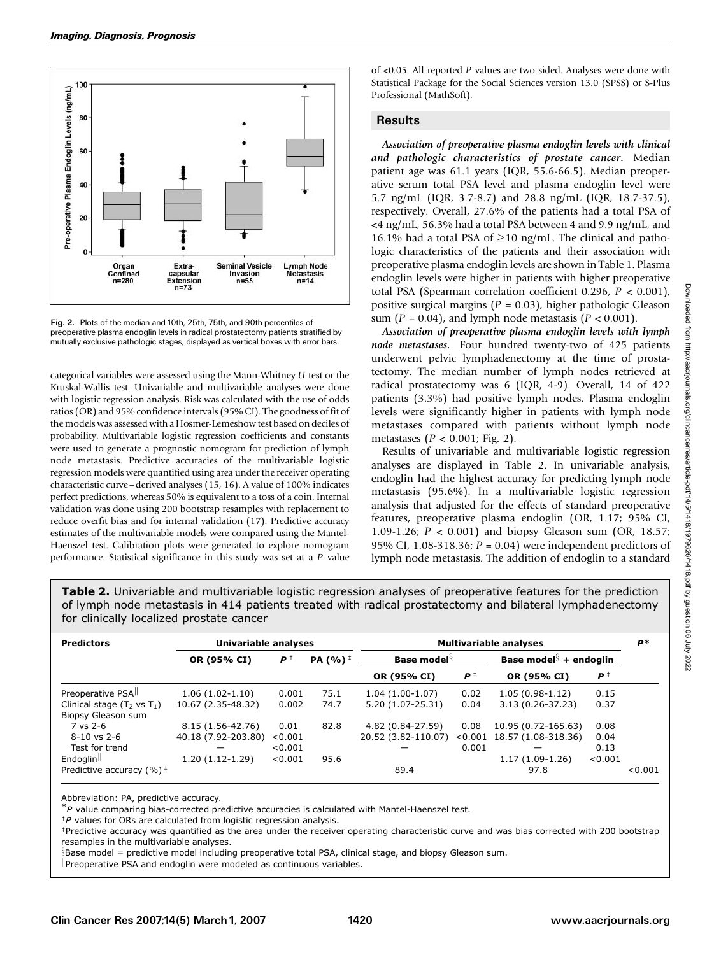

Fig. 2. Plots of the median and 10th, 25th, 75th, and 90th percentiles of preoperative plasma endoglin levels in radical prostatectomy patients stratified by mutually exclusive pathologic stages, displayed as vertical boxes with error bars.

categorical variables were assessed using the Mann-Whitney U test or the Kruskal-Wallis test. Univariable and multivariable analyses were done with logistic regression analysis. Risk was calculated with the use of odds ratios (OR) and 95% confidence intervals (95% CI). The goodness of fit of the models was assessed with a Hosmer-Lemeshow test based on deciles of probability. Multivariable logistic regression coefficients and constants were used to generate a prognostic nomogram for prediction of lymph node metastasis. Predictive accuracies of the multivariable logistic regression models were quantified using area under the receiver operating characteristic curve-derived analyses (15, 16). A value of 100% indicates perfect predictions, whereas 50% is equivalent to a toss of a coin. Internal validation was done using 200 bootstrap resamples with replacement to reduce overfit bias and for internal validation (17). Predictive accuracy estimates of the multivariable models were compared using the Mantel-Haenszel test. Calibration plots were generated to explore nomogram performance. Statistical significance in this study was set at a P value

of <0.05. All reported P values are two sided. Analyses were done with Statistical Package for the Social Sciences version 13.0 (SPSS) or S-Plus Professional (MathSoft).

## Results

Association of preoperative plasma endoglin levels with clinical and pathologic characteristics of prostate cancer. Median patient age was 61.1 years (IQR, 55.6-66.5). Median preoperative serum total PSA level and plasma endoglin level were 5.7 ng/mL (IQR, 3.7-8.7) and 28.8 ng/mL (IQR, 18.7-37.5), respectively. Overall, 27.6% of the patients had a total PSAof <4 ng/mL, 56.3% had a total PSAbetween 4 and 9.9 ng/mL, and 16.1% had a total PSA of  $\geq$ 10 ng/mL. The clinical and pathologic characteristics of the patients and their association with preoperative plasma endoglin levels are shown in Table 1. Plasma endoglin levels were higher in patients with higher preoperative total PSA (Spearman correlation coefficient 0.296,  $P < 0.001$ ), positive surgical margins ( $P = 0.03$ ), higher pathologic Gleason sum ( $P = 0.04$ ), and lymph node metastasis ( $P < 0.001$ ).

Association of preoperative plasma endoglin levels with lymph node metastases. Four hundred twenty-two of 425 patients underwent pelvic lymphadenectomy at the time of prostatectomy. The median number of lymph nodes retrieved at radical prostatectomy was 6 (IQR, 4-9). Overall, 14 of 422 patients (3.3%) had positive lymph nodes. Plasma endoglin levels were significantly higher in patients with lymph node metastases compared with patients without lymph node metastases ( $P < 0.001$ ; Fig. 2).

Results of univariable and multivariable logistic regression analyses are displayed in Table 2. In univariable analysis, endoglin had the highest accuracy for predicting lymph node metastasis (95.6%). In a multivariable logistic regression analysis that adjusted for the effects of standard preoperative features, preoperative plasma endoglin (OR, 1.17; 95% CI, 1.09-1.26; P < 0.001) and biopsy Gleason sum (OR, 18.57; 95% CI, 1.08-318.36;  $P = 0.04$ ) were independent predictors of lymph node metastasis. The addition of endoglin to a standard

**Table 2.** Univariable and multivariable logistic regression analyses of preoperative features for the prediction of lymph node metastasis in 414 patients treated with radical prostatectomy and bilateral lymphadenectomy for clinically localized prostate cancer

| <b>Predictors</b>                    | Univariable analyses |         |                                     | <b>Multivariable analyses</b>  |           |                                    |           | $P*$    |
|--------------------------------------|----------------------|---------|-------------------------------------|--------------------------------|-----------|------------------------------------|-----------|---------|
|                                      | OR (95% CI)          | $P^+$   | <b>PA</b> $(%^{\dagger})^{\dagger}$ | <b>Base model</b> <sup>3</sup> |           | Base model <sup>3</sup> + endoglin |           |         |
|                                      |                      |         |                                     | OR (95% CI)                    | $P^{\pm}$ | OR (95% CI)                        | $P^{\pm}$ |         |
| Preoperative PSA                     | $1.06(1.02-1.10)$    | 0.001   | 75.1                                | $1.04(1.00-1.07)$              | 0.02      | $1.05(0.98-1.12)$                  | 0.15      |         |
| Clinical stage $(T_2$ vs $T_1$ )     | 10.67 (2.35-48.32)   | 0.002   | 74.7                                | 5.20 (1.07-25.31)              | 0.04      | 3.13 (0.26-37.23)                  | 0.37      |         |
| Biopsy Gleason sum                   |                      |         |                                     |                                |           |                                    |           |         |
| 7 vs 2-6                             | 8.15 (1.56-42.76)    | 0.01    | 82.8                                | 4.82 (0.84-27.59)              | 0.08      | 10.95 (0.72-165.63)                | 0.08      |         |
| $8 - 10$ vs 2-6                      | 40.18 (7.92-203.80)  | < 0.001 |                                     | 20.52 (3.82-110.07)            | < 0.001   | 18.57 (1.08-318.36)                | 0.04      |         |
| Test for trend                       |                      | < 0.001 |                                     |                                | 0.001     | –                                  | 0.13      |         |
| Endoglin                             | $1.20(1.12-1.29)$    | < 0.001 | 95.6                                |                                |           | $1.17(1.09-1.26)$                  | < 0.001   |         |
| Predictive accuracy $(%)^{\ddagger}$ |                      |         |                                     | 89.4                           |           | 97.8                               |           | < 0.001 |

Abbreviation: PA, predictive accuracy.

 $^{\ast}$ P value comparing bias-corrected predictive accuracies is calculated with Mantel-Haenszel test.

 $P$  values for ORs are calculated from logistic regression analysis.

#Predictive accuracy was quantified as the area under the receiver operating characteristic curve and was bias corrected with 200 bootstrap resamples in the multivariable analyses.

 $\S$ Base model = predictive model including preoperative total PSA, clinical stage, and biopsy Gleason sum.

Preoperative PSA and endoglin were modeled as continuous variables.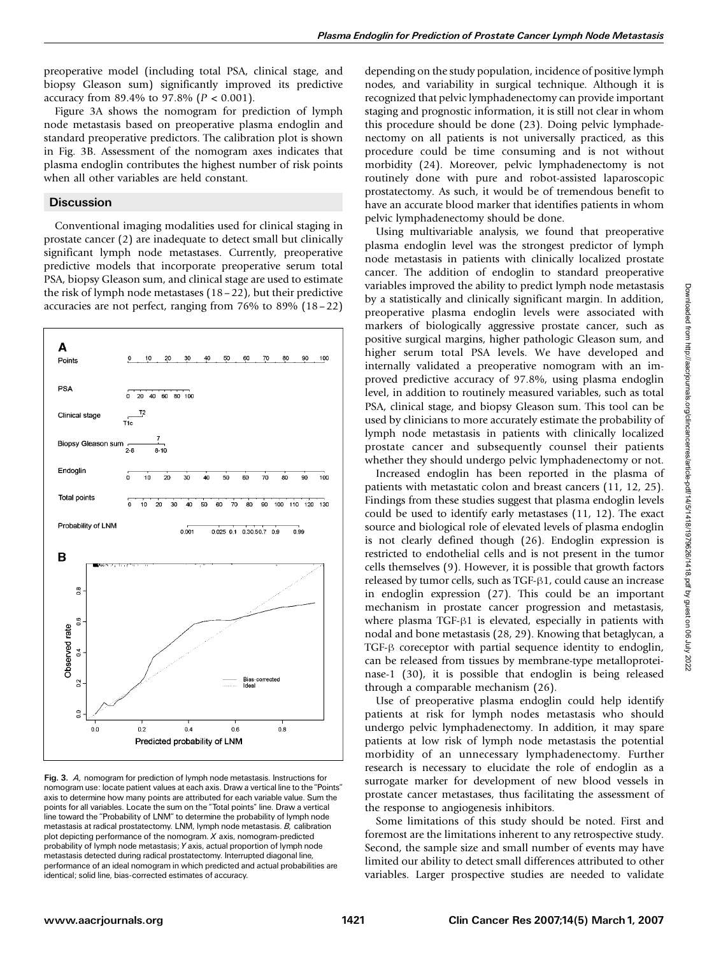preoperative model (including total PSA, clinical stage, and biopsy Gleason sum) significantly improved its predictive accuracy from 89.4% to 97.8% ( $P < 0.001$ ).

Figure 3A shows the nomogram for prediction of lymph node metastasis based on preoperative plasma endoglin and standard preoperative predictors. The calibration plot is shown in Fig. 3B. Assessment of the nomogram axes indicates that plasma endoglin contributes the highest number of risk points when all other variables are held constant.

# **Discussion**

Conventional imaging modalities used for clinical staging in prostate cancer (2) are inadequate to detect small but clinically significant lymph node metastases. Currently, preoperative predictive models that incorporate preoperative serum total PSA, biopsy Gleason sum, and clinical stage are used to estimate the risk of lymph node metastases (18 – 22), but their predictive accuracies are not perfect, ranging from 76% to 89% (18– 22)



Fig. 3. A, nomogram for prediction of lymph node metastasis. Instructions for nomogram use: locate patient values at eachaxis. Draw a vertical line to the ''Points'' axis to determine how many points are attributed for each variable value. Sum the points for all variables. Locate the sum on the ''Total points'' line. Draw a vertical line toward the "Probability of LNM" to determine the probability of lymph node metastasis at radical prostatectomy. LNM, lymph node metastasis.  $B$ , calibration plot depicting performance of the nomogram. X axis, nomogram-predicted probability of lymph node metastasis; Y axis, actual proportion of lymph node metastasis detected during radical prostatectomy. Interrupted diagonal line, performance of an ideal nomogram in which predicted and actual probabilities are identical; solid line, bias-corrected estimates of accuracy.

depending on the study population, incidence of positive lymph nodes, and variability in surgical technique. Although it is recognized that pelvic lymphadenectomy can provide important staging and prognostic information, it is still not clear in whom this procedure should be done (23). Doing pelvic lymphadenectomy on all patients is not universally practiced, as this procedure could be time consuming and is not without morbidity (24). Moreover, pelvic lymphadenectomy is not routinely done with pure and robot-assisted laparoscopic prostatectomy. As such, it would be of tremendous benefit to have an accurate blood marker that identifies patients in whom pelvic lymphadenectomy should be done.

Using multivariable analysis, we found that preoperative plasma endoglin level was the strongest predictor of lymph node metastasis in patients with clinically localized prostate cancer. The addition of endoglin to standard preoperative variables improved the ability to predict lymph node metastasis by a statistically and clinically significant margin. In addition, preoperative plasma endoglin levels were associated with markers of biologically aggressive prostate cancer, such as positive surgical margins, higher pathologic Gleason sum, and higher serum total PSA levels. We have developed and internally validated a preoperative nomogram with an improved predictive accuracy of 97.8%, using plasma endoglin level, in addition to routinely measured variables, such as total PSA, clinical stage, and biopsy Gleason sum. This tool can be used by clinicians to more accurately estimate the probability of lymph node metastasis in patients with clinically localized prostate cancer and subsequently counsel their patients whether they should undergo pelvic lymphadenectomy or not.

Increased endoglin has been reported in the plasma of patients with metastatic colon and breast cancers (11, 12, 25). Findings from these studies suggest that plasma endoglin levels could be used to identify early metastases (11, 12). The exact source and biological role of elevated levels of plasma endoglin is not clearly defined though (26). Endoglin expression is restricted to endothelial cells and is not present in the tumor cells themselves (9). However, it is possible that growth factors released by tumor cells, such as TGF- $\beta$ 1, could cause an increase in endoglin expression (27). This could be an important mechanism in prostate cancer progression and metastasis, where plasma  $TGF- $\beta$ 1$  is elevated, especially in patients with nodal and bone metastasis (28, 29). Knowing that betaglycan, a TGF- $\beta$  coreceptor with partial sequence identity to endoglin, can be released from tissues by membrane-type metalloproteinase-1 (30), it is possible that endoglin is being released through a comparable mechanism (26).

Use of preoperative plasma endoglin could help identify patients at risk for lymph nodes metastasis who should undergo pelvic lymphadenectomy. In addition, it may spare patients at low risk of lymph node metastasis the potential morbidity of an unnecessary lymphadenectomy. Further research is necessary to elucidate the role of endoglin as a surrogate marker for development of new blood vessels in prostate cancer metastases, thus facilitating the assessment of the response to angiogenesis inhibitors.

Some limitations of this study should be noted. First and foremost are the limitations inherent to any retrospective study. Second, the sample size and small number of events may have limited our ability to detect small differences attributed to other variables. Larger prospective studies are needed to validate